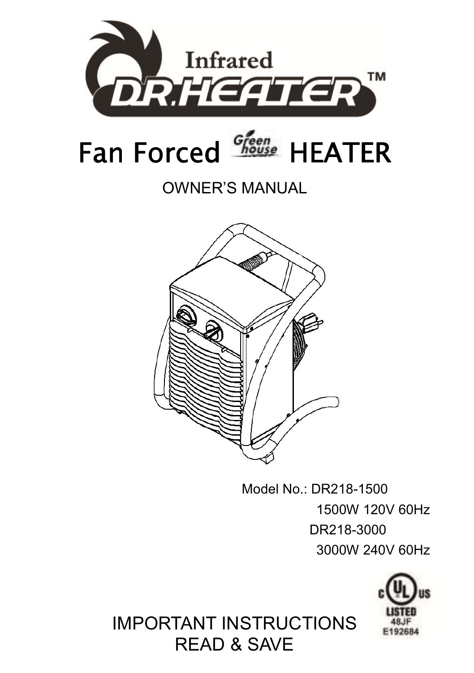

#### OWNER'S MANUAL



Model No.: DR218-1500 1500W 120V 60Hz DR218-3000 3000W 240V 60Hz



### IMPORTANT INSTRUCTIONS READ & SAVE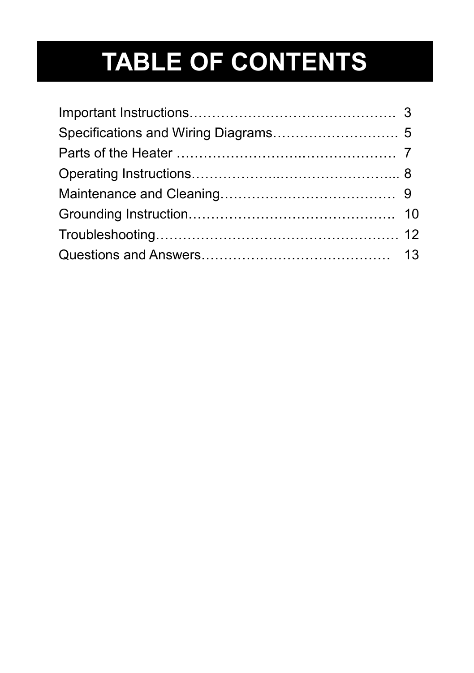# **TABLE OF CONTENTS**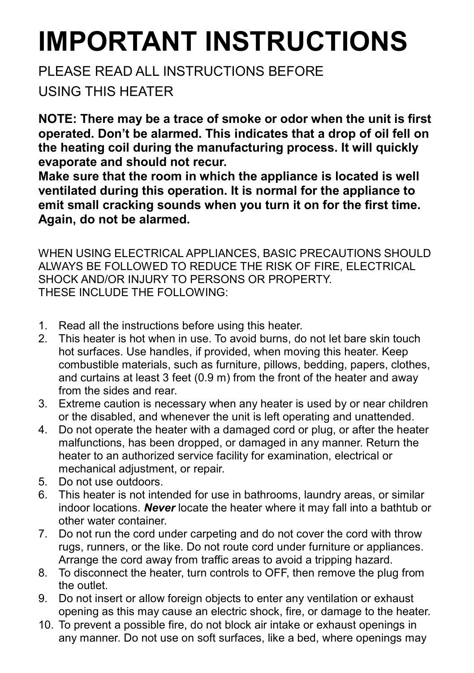# **IMPORTANT INSTRUCTIONS**

#### PLEASE READ ALL INSTRUCTIONS BEFORE USING THIS HEATER

**NOTE: There may be a trace of smoke or odor when the unit is first operated. Don't be alarmed. This indicates that a drop of oil fell on the heating coil during the manufacturing process. It will quickly evaporate and should not recur.** 

**Make sure that the room in which the appliance is located is well ventilated during this operation. It is normal for the appliance to emit small cracking sounds when you turn it on for the first time. Again, do not be alarmed.** 

WHEN USING ELECTRICAL APPLIANCES, BASIC PRECAUTIONS SHOULD ALWAYS BE FOLLOWED TO REDUCE THE RISK OF FIRE, ELECTRICAL SHOCK AND/OR INJURY TO PERSONS OR PROPERTY. THESE INCLUDE THE FOLLOWING:

- 1. Read all the instructions before using this heater.
- 2. This heater is hot when in use. To avoid burns, do not let bare skin touch hot surfaces. Use handles, if provided, when moving this heater. Keep combustible materials, such as furniture, pillows, bedding, papers, clothes, and curtains at least 3 feet (0.9 m) from the front of the heater and away from the sides and rear.
- 3. Extreme caution is necessary when any heater is used by or near children or the disabled, and whenever the unit is left operating and unattended.
- 4. Do not operate the heater with a damaged cord or plug, or after the heater malfunctions, has been dropped, or damaged in any manner. Return the heater to an authorized service facility for examination, electrical or mechanical adjustment, or repair.
- 5. Do not use outdoors.
- 6. This heater is not intended for use in bathrooms, laundry areas, or similar indoor locations. *Never* locate the heater where it may fall into a bathtub or other water container.
- 7. Do not run the cord under carpeting and do not cover the cord with throw rugs, runners, or the like. Do not route cord under furniture or appliances. Arrange the cord away from traffic areas to avoid a tripping hazard.
- 8. To disconnect the heater, turn controls to OFF, then remove the plug from the outlet.
- 9. Do not insert or allow foreign objects to enter any ventilation or exhaust opening as this may cause an electric shock, fire, or damage to the heater.
- 10. To prevent a possible fire, do not block air intake or exhaust openings in any manner. Do not use on soft surfaces, like a bed, where openings may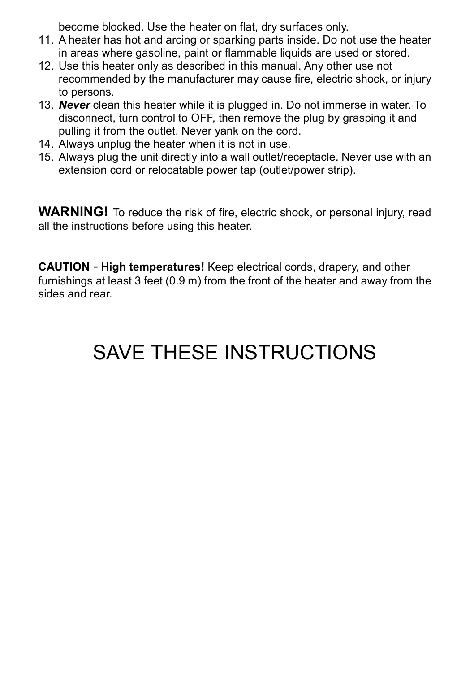become blocked. Use the heater on flat, dry surfaces only.

- 11. A heater has hot and arcing or sparking parts inside. Do not use the heater in areas where gasoline, paint or flammable liquids are used or stored.
- 12. Use this heater only as described in this manual. Any other use not recommended by the manufacturer may cause fire, electric shock, or injury to persons.
- 13. *Never* clean this heater while it is plugged in. Do not immerse in water. To disconnect, turn control to OFF, then remove the plug by grasping it and pulling it from the outlet. Never yank on the cord.
- 14. Always unplug the heater when it is not in use.
- 15. Always plug the unit directly into a wall outlet/receptacle. Never use with an extension cord or relocatable power tap (outlet/power strip).

**WARNING!** To reduce the risk of fire, electric shock, or personal injury, read all the instructions before using this heater.

**CAUTION** - **High temperatures!** Keep electrical cords, drapery, and other furnishings at least 3 feet (0.9 m) from the front of the heater and away from the sides and rear.

### SAVE THESE INSTRUCTIONS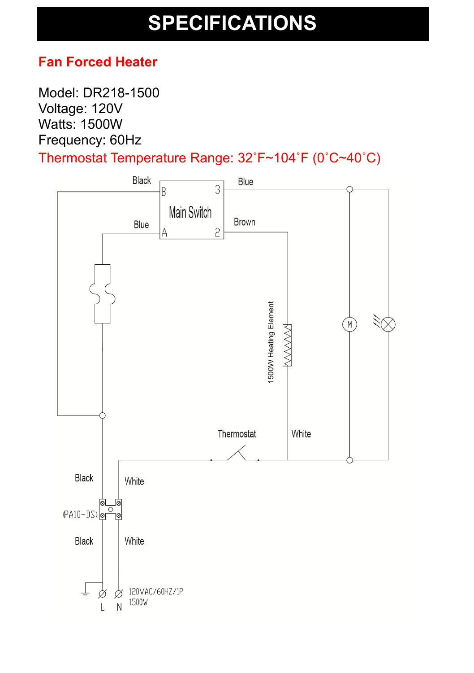### **SPECIFICATIONS**

#### **Fan Forced Heater**

Model: DR218-1500 Voltage: 120V Watts: 1500W Frequency: 60Hz

Thermostat Temperature Range: 32˚F~104˚F (0˚C~40˚C)

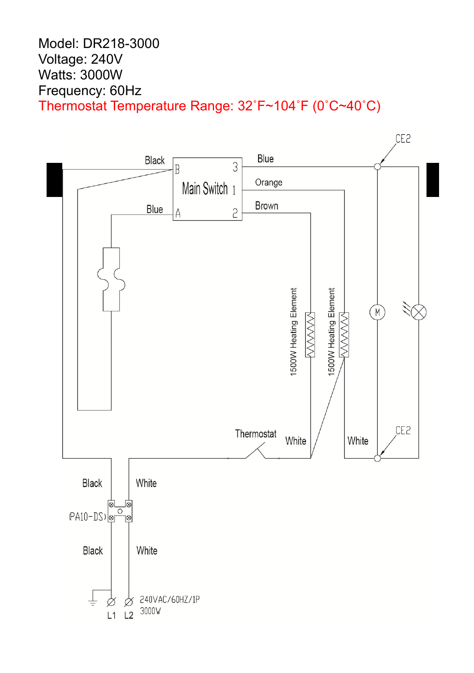#### Model: DR218-3000 Voltage: 240V Watts: 3000W Frequency: 60Hz Thermostat Temperature Range: 32˚F~104˚F (0˚C~40˚C)

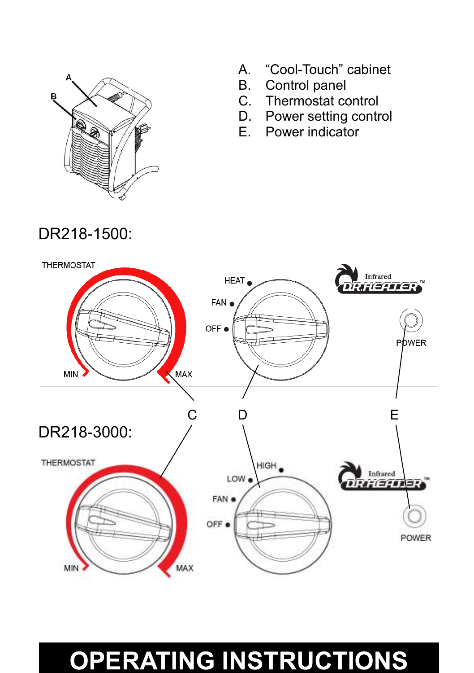

A. "Cool-Touch" cabinet Touch" cabinet

- B. Control panel panel
- C. Thermostat control<br>D. Power setting contr
- C. Thermostat control<br>D. Power setting control
- E. Power indicator



### **OPERATING INSTRUCTIONS**

DR218-1500: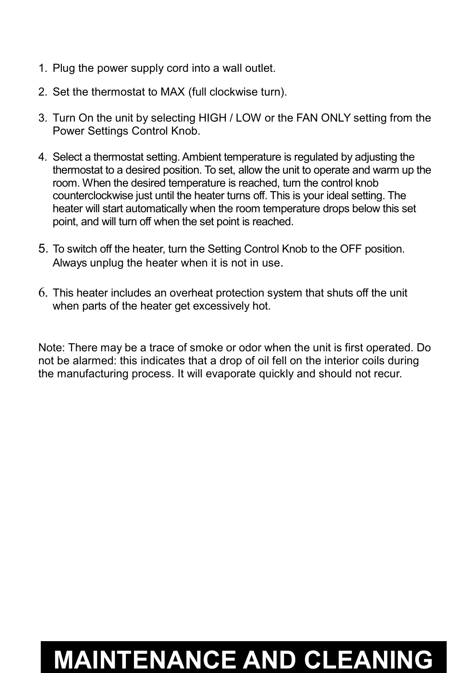- 1. Plug the power supply cord into a wall outlet.
- 2. Set the thermostat to MAX (full clockwise turn).
- 3. Turn On the unit by selecting HIGH / LOW or the FAN ONLY setting from the Power Settings Control Knob.
- 4. Select a thermostat setting. Ambient temperature is regulated by adjusting the thermostat to a desired position. To set, allow the unit to operate and warm up the room. When the desired temperature is reached, turn the control knob counterclockwise just until the heater turns off. This is your ideal setting. The heater will start automatically when the room temperature drops below this set point, and will turn off when the set point is reached.
- 5. To switch off the heater, turn the Setting Control Knob to the OFF position. Always unplug the heater when it is not in use.
- 6. This heater includes an overheat protection system that shuts off the unit when parts of the heater get excessively hot.

Note: There may be a trace of smoke or odor when the unit is first operated. Do not be alarmed: this indicates that a drop of oil fell on the interior coils during the manufacturing process. It will evaporate quickly and should not recur.

### **MAINTENANCE AND CLEANING**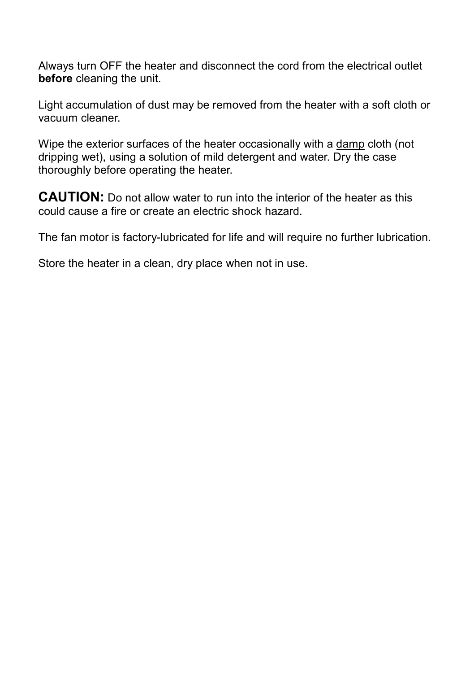Always turn OFF the heater and disconnect the cord from the electrical outlet **before** cleaning the unit.

Light accumulation of dust may be removed from the heater with a soft cloth or vacuum cleaner.

Wipe the exterior surfaces of the heater occasionally with a damp cloth (not dripping wet), using a solution of mild detergent and water. Dry the case thoroughly before operating the heater.

**CAUTION:** Do not allow water to run into the interior of the heater as this could cause a fire or create an electric shock hazard.

The fan motor is factory-lubricated for life and will require no further lubrication.

Store the heater in a clean, dry place when not in use.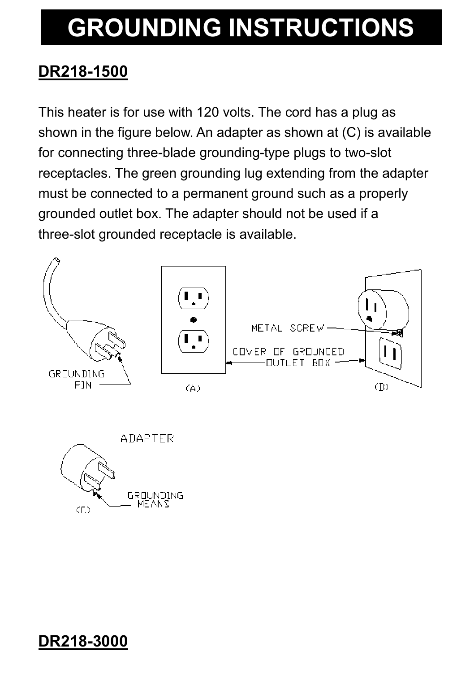## **GROUNDING INSTRUCTIONS**

#### **DR218-1500**

This heater is for use with 120 volts. The cord has a plug as shown in the figure below. An adapter as shown at (C) is available for connecting three-blade grounding-type plugs to two-slot receptacles. The green grounding lug extending from the adapter must be connected to a permanent ground such as a properly grounded outlet box. The adapter should not be used if a three-slot grounded receptacle is available.





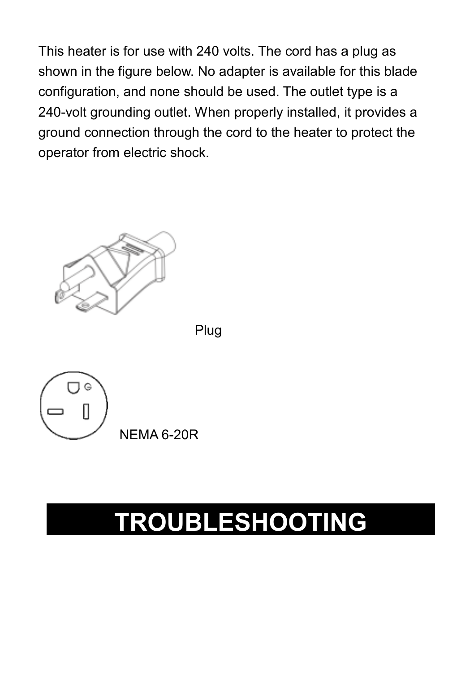This heater is for use with 240 volts. The cord has a plug as shown in the figure below. No adapter is available for this blade configuration, and none should be used. The outlet type 240-volt grounding outlet. When properly installed, it provides a ground connection through the cord to the heater to protect the operator from electric shock. ا 240 volts. The cord has a plug as<br>. No adapter is available for this bla<br>hould be used. The outlet type is a



Plug



### **TROUBLESHOOTING**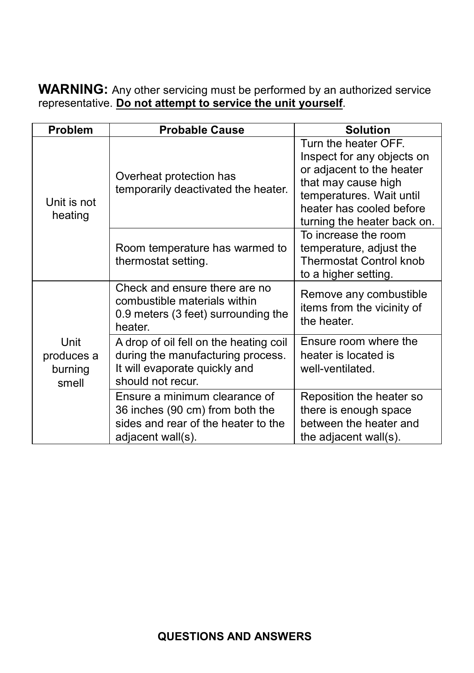**WARNING:** Any other servicing must be performed by an authorized service representative. **Do not attempt to service the unit yourself**.

| Problem                                | <b>Probable Cause</b>                                                                                                             | <b>Solution</b>                                                                                                                                                                               |
|----------------------------------------|-----------------------------------------------------------------------------------------------------------------------------------|-----------------------------------------------------------------------------------------------------------------------------------------------------------------------------------------------|
| Unit is not<br>heating                 | Overheat protection has<br>temporarily deactivated the heater.                                                                    | Turn the heater OFF.<br>Inspect for any objects on<br>or adjacent to the heater<br>that may cause high<br>temperatures. Wait until<br>heater has cooled before<br>turning the heater back on. |
|                                        | Room temperature has warmed to<br>thermostat setting.                                                                             | To increase the room<br>temperature, adjust the<br><b>Thermostat Control knob</b><br>to a higher setting.                                                                                     |
| Unit<br>produces a<br>burning<br>smell | Check and ensure there are no<br>combustible materials within<br>0.9 meters (3 feet) surrounding the<br>heater.                   | Remove any combustible<br>items from the vicinity of<br>the heater.                                                                                                                           |
|                                        | A drop of oil fell on the heating coil<br>during the manufacturing process.<br>It will evaporate quickly and<br>should not recur. | Ensure room where the<br>heater is located is<br>well-ventilated.                                                                                                                             |
|                                        | Ensure a minimum clearance of<br>36 inches (90 cm) from both the<br>sides and rear of the heater to the<br>adjacent wall(s).      | Reposition the heater so<br>there is enough space<br>between the heater and<br>the adjacent wall(s).                                                                                          |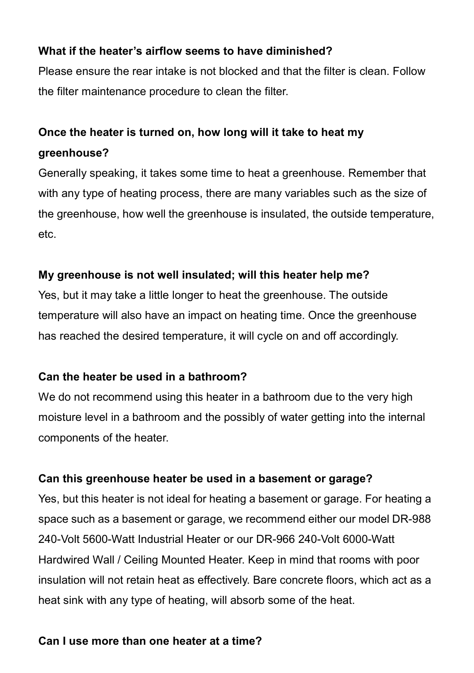#### **What if the heater's airflow seems to have diminished?**

Please ensure the rear intake is not blocked and that the filter is clean. Follow the filter maintenance procedure to clean the filter.

#### **Once the heater is turned on, how long will it take to heat my greenhouse?**

Generally speaking, it takes some time to heat a greenhouse. Remember that with any type of heating process, there are many variables such as the size of the greenhouse, how well the greenhouse is insulated, the outside temperature, etc.

#### **My greenhouse is not well insulated; will this heater help me?**

Yes, but it may take a little longer to heat the greenhouse. The outside temperature will also have an impact on heating time. Once the greenhouse has reached the desired temperature, it will cycle on and off accordingly.

#### **Can the heater be used in a bathroom?**

We do not recommend using this heater in a bathroom due to the very high moisture level in a bathroom and the possibly of water getting into the internal components of the heater.

#### **Can this greenhouse heater be used in a basement or garage?**

Yes, but this heater is not ideal for heating a basement or garage. For heating a space such as a basement or garage, we recommend either our model DR-988 240-Volt 5600-Watt Industrial Heater or our DR-966 240-Volt 6000-Watt Hardwired Wall / Ceiling Mounted Heater. Keep in mind that rooms with poor insulation will not retain heat as effectively. Bare concrete floors, which act as a heat sink with any type of heating, will absorb some of the heat.

#### **Can I use more than one heater at a time?**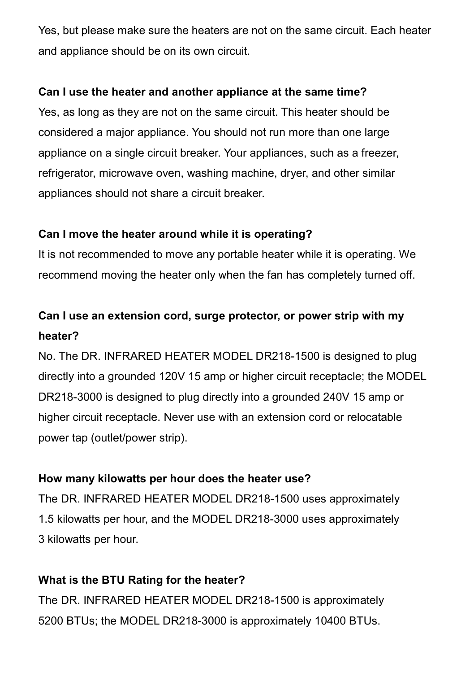Yes, but please make sure the heaters are not on the same circuit. Each heater and appliance should be on its own circuit.

#### **Can I use the heater and another appliance at the same time?**

Yes, as long as they are not on the same circuit. This heater should be considered a major appliance. You should not run more than one large appliance on a single circuit breaker. Your appliances, such as a freezer, refrigerator, microwave oven, washing machine, dryer, and other similar appliances should not share a circuit breaker.

#### **Can I move the heater around while it is operating?**

It is not recommended to move any portable heater while it is operating. We recommend moving the heater only when the fan has completely turned off.

#### **Can I use an extension cord, surge protector, or power strip with my heater?**

No. The DR. INFRARED HEATER MODEL DR218-1500 is designed to plug directly into a grounded 120V 15 amp or higher circuit receptacle; the MODEL DR218-3000 is designed to plug directly into a grounded 240V 15 amp or higher circuit receptacle. Never use with an extension cord or relocatable power tap (outlet/power strip).

#### **How many kilowatts per hour does the heater use?**

The DR. INFRARED HEATER MODEL DR218-1500 uses approximately 1.5 kilowatts per hour, and the MODEL DR218-3000 uses approximately 3 kilowatts per hour.

#### **What is the BTU Rating for the heater?**

The DR. INFRARED HEATER MODEL DR218-1500 is approximately 5200 BTUs; the MODEL DR218-3000 is approximately 10400 BTUs.